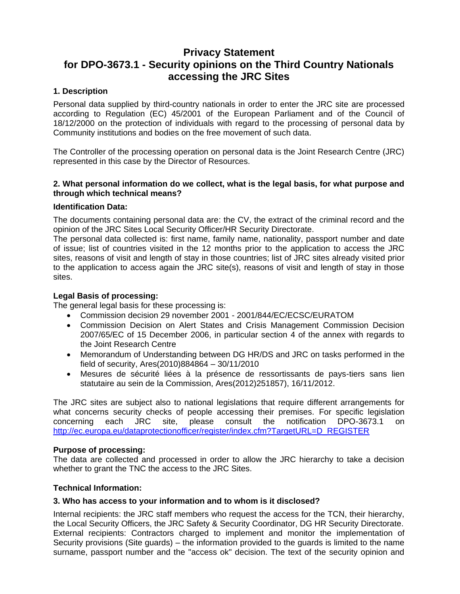# **Privacy Statement for DPO-3673.1 - Security opinions on the Third Country Nationals accessing the JRC Sites**

### **1. Description**

Personal data supplied by third-country nationals in order to enter the JRC site are processed according to Regulation (EC) 45/2001 of the European Parliament and of the Council of 18/12/2000 on the protection of individuals with regard to the processing of personal data by Community institutions and bodies on the free movement of such data.

The Controller of the processing operation on personal data is the Joint Research Centre (JRC) represented in this case by the Director of Resources.

#### **2. What personal information do we collect, what is the legal basis, for what purpose and through which technical means?**

#### **Identification Data:**

The documents containing personal data are: the CV, the extract of the criminal record and the opinion of the JRC Sites Local Security Officer/HR Security Directorate.

The personal data collected is: first name, family name, nationality, passport number and date of issue; list of countries visited in the 12 months prior to the application to access the JRC sites, reasons of visit and length of stay in those countries; list of JRC sites already visited prior to the application to access again the JRC site(s), reasons of visit and length of stay in those sites.

#### **Legal Basis of processing:**

The general legal basis for these processing is:

- Commission decision 29 november 2001 2001/844/EC/ECSC/EURATOM
- Commission Decision on Alert States and Crisis Management Commission Decision 2007/65/EC of 15 December 2006, in particular section 4 of the annex with regards to the Joint Research Centre
- Memorandum of Understanding between DG HR/DS and JRC on tasks performed in the field of security, Ares(2010)884864 – 30/11/2010
- Mesures de sécurité liées à la présence de ressortissants de pays-tiers sans lien statutaire au sein de la Commission, Ares(2012)251857), 16/11/2012.

The JRC sites are subject also to national legislations that require different arrangements for what concerns security checks of people accessing their premises. For specific legislation concerning each JRC site, please consult the notification DPO-3673.1 on [http://ec.europa.eu/dataprotectionofficer/register/index.cfm?TargetURL=D\\_REGISTER](http://ec.europa.eu/dataprotectionofficer/register/index.cfm?TargetURL=D_REGISTER)

### **Purpose of processing:**

The data are collected and processed in order to allow the JRC hierarchy to take a decision whether to grant the TNC the access to the JRC Sites.

### **Technical Information:**

### **3. Who has access to your information and to whom is it disclosed?**

Internal recipients: the JRC staff members who request the access for the TCN, their hierarchy, the Local Security Officers, the JRC Safety & Security Coordinator, DG HR Security Directorate. External recipients: Contractors charged to implement and monitor the implementation of Security provisions (Site guards) – the information provided to the guards is limited to the name surname, passport number and the "access ok" decision. The text of the security opinion and